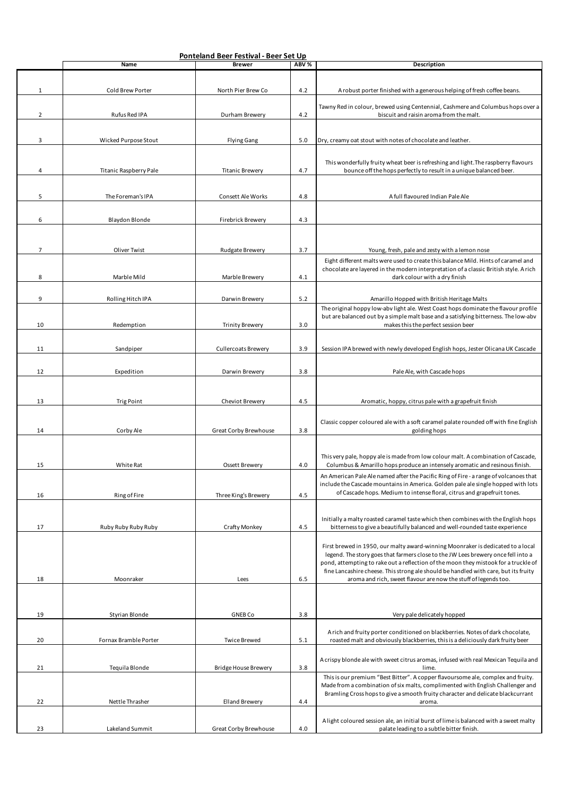|                | Ponteland Beer Festival - Beer Set Up |                             |       |                                                                                                                                                                                                                                                                                                                                                                                                                       |  |  |
|----------------|---------------------------------------|-----------------------------|-------|-----------------------------------------------------------------------------------------------------------------------------------------------------------------------------------------------------------------------------------------------------------------------------------------------------------------------------------------------------------------------------------------------------------------------|--|--|
|                | Name                                  | <b>Brewer</b>               | ABV % | Description                                                                                                                                                                                                                                                                                                                                                                                                           |  |  |
| $\mathbf 1$    | Cold Brew Porter                      | North Pier Brew Co          | 4.2   | A robust porter finished with a generous helping of fresh coffee beans.                                                                                                                                                                                                                                                                                                                                               |  |  |
| $\overline{2}$ | Rufus Red IPA                         | Durham Brewery              | 4.2   | Tawny Red in colour, brewed using Centennial, Cashmere and Columbus hops over a<br>biscuit and raisin aroma from the malt.                                                                                                                                                                                                                                                                                            |  |  |
|                |                                       |                             |       |                                                                                                                                                                                                                                                                                                                                                                                                                       |  |  |
| 3              | Wicked Purpose Stout                  | <b>Flying Gang</b>          | 5.0   | Dry, creamy oat stout with notes of chocolate and leather.                                                                                                                                                                                                                                                                                                                                                            |  |  |
| 4              | Titanic Raspberry Pale                | <b>Titanic Brewery</b>      | 4.7   | This wonderfully fruity wheat beer is refreshing and light. The raspberry flavours<br>bounce off the hops perfectly to result in a unique balanced beer.                                                                                                                                                                                                                                                              |  |  |
|                |                                       |                             |       |                                                                                                                                                                                                                                                                                                                                                                                                                       |  |  |
| 5              | The Foreman's IPA                     | Consett Ale Works           | 4.8   | A full flavoured Indian Pale Ale                                                                                                                                                                                                                                                                                                                                                                                      |  |  |
| 6              | Blaydon Blonde                        | Firebrick Brewery           | 4.3   |                                                                                                                                                                                                                                                                                                                                                                                                                       |  |  |
| $\overline{7}$ | Oliver Twist                          | Rudgate Brewery             | 3.7   | Young, fresh, pale and zesty with a lemon nose                                                                                                                                                                                                                                                                                                                                                                        |  |  |
|                |                                       |                             |       | Eight different malts were used to create this balance Mild. Hints of caramel and                                                                                                                                                                                                                                                                                                                                     |  |  |
| 8              | Marble Mild                           | Marble Brewery              | 4.1   | chocolate are layered in the modern interpretation of a classic British style. A rich<br>dark colour with a dry finish                                                                                                                                                                                                                                                                                                |  |  |
|                |                                       |                             |       |                                                                                                                                                                                                                                                                                                                                                                                                                       |  |  |
| 9              | Rolling Hitch IPA                     | Darwin Brewery              | 5.2   | Amarillo Hopped with British Heritage Malts<br>The original hoppy low-abv light ale. West Coast hops dominate the flavour profile                                                                                                                                                                                                                                                                                     |  |  |
|                |                                       |                             |       | but are balanced out by a simple malt base and a satisfying bitterness. The low-abv                                                                                                                                                                                                                                                                                                                                   |  |  |
| 10             | Redemption                            | <b>Trinity Brewery</b>      | 3.0   | makes this the perfect session beer                                                                                                                                                                                                                                                                                                                                                                                   |  |  |
|                |                                       |                             |       |                                                                                                                                                                                                                                                                                                                                                                                                                       |  |  |
| 11             | Sandpiper                             | <b>Cullercoats Brewery</b>  | 3.9   | Session IPA brewed with newly developed English hops, Jester Olicana UK Cascade                                                                                                                                                                                                                                                                                                                                       |  |  |
|                |                                       |                             | 3.8   |                                                                                                                                                                                                                                                                                                                                                                                                                       |  |  |
| 12             | Expedition                            | Darwin Brewery              |       | Pale Ale, with Cascade hops                                                                                                                                                                                                                                                                                                                                                                                           |  |  |
|                |                                       |                             |       |                                                                                                                                                                                                                                                                                                                                                                                                                       |  |  |
| 13             | <b>Trig Point</b>                     | Cheviot Brewery             | 4.5   | Aromatic, hoppy, citrus pale with a grapefruit finish                                                                                                                                                                                                                                                                                                                                                                 |  |  |
| 14             | Corby Ale                             | Great Corby Brewhouse       | 3.8   | Classic copper coloured ale with a soft caramel palate rounded off with fine English<br>golding hops                                                                                                                                                                                                                                                                                                                  |  |  |
|                |                                       |                             |       |                                                                                                                                                                                                                                                                                                                                                                                                                       |  |  |
| 15             | White Rat                             | <b>Ossett Brewery</b>       | 4.0   | This very pale, hoppy ale is made from low colour malt. A combination of Cascade,<br>Columbus & Amarillo hops produce an intensely aromatic and resinous finish.                                                                                                                                                                                                                                                      |  |  |
|                |                                       |                             |       | An American Pale Ale named after the Pacific Ring of Fire - a range of volcanoes that                                                                                                                                                                                                                                                                                                                                 |  |  |
|                |                                       |                             |       | include the Cascade mountains in America. Golden pale ale single hopped with lots<br>of Cascade hops. Medium to intense floral, citrus and grapefruit tones.                                                                                                                                                                                                                                                          |  |  |
| 16             | Ring of Fire                          | Three King's Brewery        | 4.5   |                                                                                                                                                                                                                                                                                                                                                                                                                       |  |  |
|                |                                       |                             |       | Initially a malty roasted caramel taste which then combines with the English hops                                                                                                                                                                                                                                                                                                                                     |  |  |
| 17             | Ruby Ruby Ruby Ruby                   | Crafty Monkey               | 4.5   | bitterness to give a beautifully balanced and well-rounded taste experience                                                                                                                                                                                                                                                                                                                                           |  |  |
| 18             | Moonraker                             | Lees                        | 6.5   | First brewed in 1950, our malty award-winning Moonraker is dedicated to a local<br>legend. The story goes that farmers close to the JW Lees brewery once fell into a<br>pond, attempting to rake out a reflection of the moon they mistook for a truckle of<br>fine Lancashire cheese. This strong ale should be handled with care, but its fruity<br>aroma and rich, sweet flavour are now the stuff of legends too. |  |  |
|                |                                       |                             |       |                                                                                                                                                                                                                                                                                                                                                                                                                       |  |  |
|                |                                       |                             |       |                                                                                                                                                                                                                                                                                                                                                                                                                       |  |  |
| 19             | Styrian Blonde                        | <b>GNEB Co</b>              | 3.8   | Very pale delicately hopped                                                                                                                                                                                                                                                                                                                                                                                           |  |  |
|                |                                       |                             |       |                                                                                                                                                                                                                                                                                                                                                                                                                       |  |  |
| 20             | Fornax Bramble Porter                 | <b>Twice Brewed</b>         | 5.1   | A rich and fruity porter conditioned on blackberries. Notes of dark chocolate,<br>roasted malt and obviously blackberries, this is a deliciously dark fruity beer                                                                                                                                                                                                                                                     |  |  |
| 21             | Tequila Blonde                        | <b>Bridge House Brewery</b> | 3.8   | A crispy blonde ale with sweet citrus aromas, infused with real Mexican Tequila and<br>lime.                                                                                                                                                                                                                                                                                                                          |  |  |
|                |                                       |                             |       | This is our premium "Best Bitter". A copper flavoursome ale, complex and fruity.                                                                                                                                                                                                                                                                                                                                      |  |  |
| 22             | Nettle Thrasher                       | <b>Elland Brewery</b>       | 4.4   | Made from a combination of six malts, complimented with English Challenger and<br>Bramling Cross hops to give a smooth fruity character and delicate blackcurrant<br>aroma.                                                                                                                                                                                                                                           |  |  |
|                |                                       |                             |       |                                                                                                                                                                                                                                                                                                                                                                                                                       |  |  |
| 23             | Lakeland Summit                       | Great Corby Brewhouse       | 4.0   | A light coloured session ale, an initial burst of lime is balanced with a sweet malty<br>palate leading to a subtle bitter finish.                                                                                                                                                                                                                                                                                    |  |  |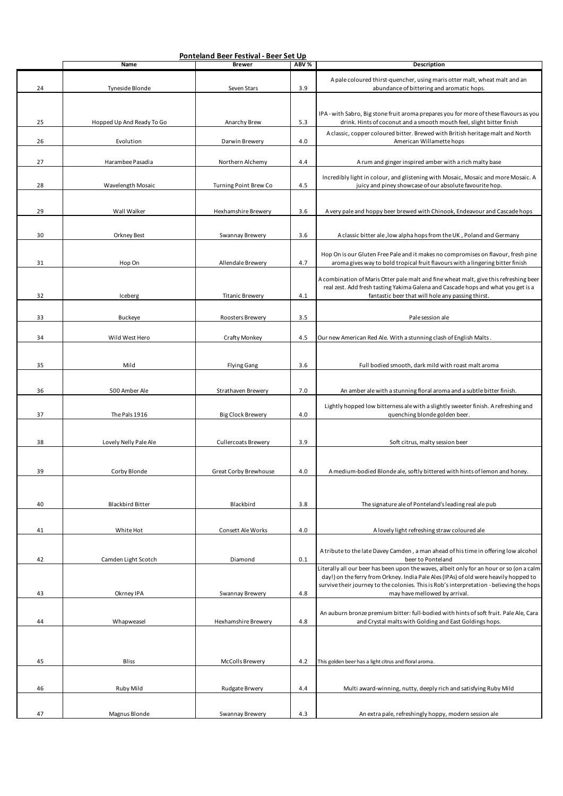|    |                           | Ponteland Beer Festival - Beer Set Up |         |                                                                                                                                                                                  |
|----|---------------------------|---------------------------------------|---------|----------------------------------------------------------------------------------------------------------------------------------------------------------------------------------|
|    | Name                      | <b>Brewer</b>                         | ABV %   | Description                                                                                                                                                                      |
| 24 | Tyneside Blonde           | Seven Stars                           | 3.9     | A pale coloured thirst-quencher, using maris otter malt, wheat malt and an<br>abundance of bittering and aromatic hops.                                                          |
| 25 | Hopped Up And Ready To Go | Anarchy Brew                          | 5.3     | IPA - with Sabro, Big stone fruit aroma prepares you for more of these flavours as you<br>drink. Hints of coconut and a smooth mouth feel, slight bitter finish                  |
| 26 | Evolution                 | Darwin Brewery                        | 4.0     | A classic, copper coloured bitter. Brewed with British heritage malt and North<br>American Willamette hops                                                                       |
| 27 | Harambee Pasadia          | Northern Alchemy                      | 4.4     | A rum and ginger inspired amber with a rich malty base                                                                                                                           |
| 28 | Wavelength Mosaic         | <b>Turning Point Brew Co</b>          | 4.5     | Incredibly light in colour, and glistening with Mosaic, Mosaic and more Mosaic. A<br>juicy and piney showcase of our absolute favourite hop.                                     |
| 29 | Wall Walker               | Hexhamshire Brewery                   | 3.6     | A very pale and hoppy beer brewed with Chinook, Endeavour and Cascade hops                                                                                                       |
| 30 | Orkney Best               | Swannay Brewery                       | 3.6     | A classic bitter ale, low alpha hops from the UK, Poland and Germany                                                                                                             |
| 31 | Hop On                    | Allendale Brewery                     | 4.7     | Hop On is our Gluten Free Pale and it makes no compromises on flavour, fresh pine<br>aroma gives way to bold tropical fruit flavours with a lingering bitter finish              |
|    |                           |                                       |         | A combination of Maris Otter pale malt and fine wheat malt, give this refreshing beer<br>real zest. Add fresh tasting Yakima Galena and Cascade hops and what you get is a       |
| 32 | Iceberg                   | <b>Titanic Brewery</b>                | 4.1     | fantastic beer that will hole any passing thirst.                                                                                                                                |
| 33 | Buckeye                   | Roosters Brewery                      | 3.5     | Pale session ale                                                                                                                                                                 |
| 34 | Wild West Hero            | Crafty Monkey                         | 4.5     | Our new American Red Ale. With a stunning clash of English Malts.                                                                                                                |
| 35 | Mild                      | <b>Flying Gang</b>                    | 3.6     | Full bodied smooth, dark mild with roast malt aroma                                                                                                                              |
| 36 | 500 Amber Ale             | Strathaven Brewery                    | 7.0     | An amber ale with a stunning floral aroma and a subtle bitter finish.                                                                                                            |
| 37 | The Pals 1916             | <b>Big Clock Brewery</b>              | 4.0     | Lightly hopped low bitterness ale with a slightly sweeter finish. A refreshing and<br>quenching blonde golden beer.                                                              |
| 38 | Lovely Nelly Pale Ale     | Cullercoats Brewery                   | 3.9     | Soft citrus, malty session beer                                                                                                                                                  |
| 39 | Corby Blonde              | Great Corby Brewhouse                 | 4.0     | A medium-bodied Blonde ale, softly bittered with hints of lemon and honey.                                                                                                       |
|    |                           |                                       |         |                                                                                                                                                                                  |
| 40 | <b>Blackbird Bitter</b>   | Blackbird                             | 3.8     | The signature ale of Ponteland's leading real ale pub                                                                                                                            |
| 41 | White Hot                 | Consett Ale Works                     | 4.0     | A lovely light refreshing straw coloured ale                                                                                                                                     |
|    |                           |                                       |         | A tribute to the late Davey Camden, a man ahead of his time in offering low alcohol<br>beer to Ponteland                                                                         |
| 42 | Camden Light Scotch       | Diamond                               | $0.1\,$ | Literally all our beer has been upon the waves, albeit only for an hour or so (on a calm<br>day!) on the ferry from Orkney. India Pale Ales (IPAs) of old were heavily hopped to |
| 43 | Okrney IPA                | Swannay Brewery                       | 4.8     | survive their journey to the colonies. This is Rob's interpretation - believing the hops<br>may have mellowed by arrival.                                                        |
| 44 | Whapweasel                | Hexhamshire Brewery                   | 4.8     | An auburn bronze premium bitter: full-bodied with hints of soft fruit. Pale Ale, Cara<br>and Crystal malts with Golding and East Goldings hops.                                  |
|    |                           |                                       |         |                                                                                                                                                                                  |
| 45 | <b>Bliss</b>              | McColls Brewery                       | 4.2     | This golden beer has a light citrus and floral aroma.                                                                                                                            |
| 46 | Ruby Mild                 | Rudgate Brwery                        | 4.4     | Multi award-winning, nutty, deeply rich and satisfying Ruby Mild                                                                                                                 |
| 47 | Magnus Blonde             | Swannay Brewery                       | 4.3     | An extra pale, refreshingly hoppy, modern session ale                                                                                                                            |
|    |                           |                                       |         |                                                                                                                                                                                  |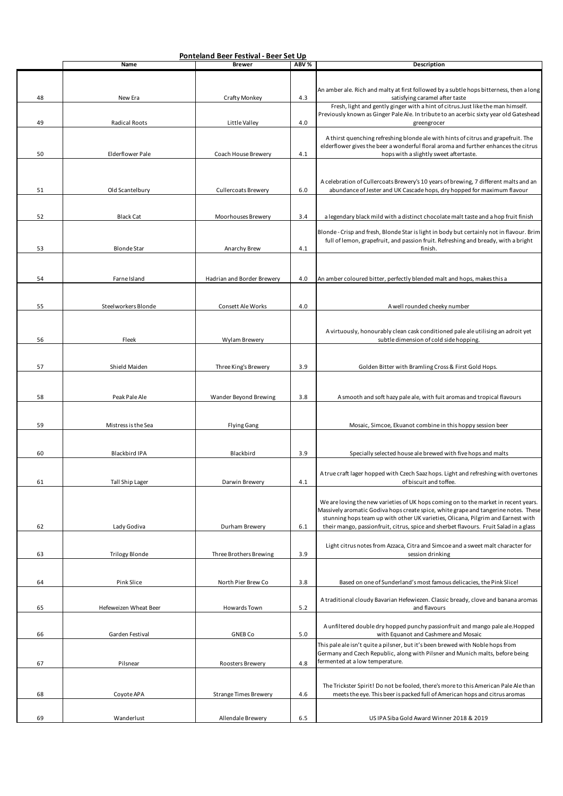|    |                       | Ponteland Beer Festival - Beer Set Up |                  |                                                                                                                                                                          |
|----|-----------------------|---------------------------------------|------------------|--------------------------------------------------------------------------------------------------------------------------------------------------------------------------|
|    | Name                  | <b>Brewer</b>                         | ABV <sub>%</sub> | Description                                                                                                                                                              |
|    |                       |                                       |                  |                                                                                                                                                                          |
|    |                       |                                       |                  |                                                                                                                                                                          |
| 48 | New Era               | Crafty Monkey                         | 4.3              | An amber ale. Rich and malty at first followed by a subtle hops bitterness, then a long<br>satisfying caramel after taste                                                |
|    |                       |                                       |                  | Fresh, light and gently ginger with a hint of citrus. Just like the man himself.                                                                                         |
|    |                       |                                       |                  | Previously known as Ginger Pale Ale. In tribute to an acerbic sixty year old Gateshead                                                                                   |
| 49 | <b>Radical Roots</b>  | Little Valley                         | 4.0              | greengrocer                                                                                                                                                              |
|    |                       |                                       |                  |                                                                                                                                                                          |
|    |                       |                                       |                  | A thirst quenching refreshing blonde ale with hints of citrus and grapefruit. The<br>elderflower gives the beer a wonderful floral aroma and further enhances the citrus |
| 50 | Elderflower Pale      | Coach House Brewery                   | 4.1              | hops with a slightly sweet aftertaste.                                                                                                                                   |
|    |                       |                                       |                  |                                                                                                                                                                          |
|    |                       |                                       |                  |                                                                                                                                                                          |
|    |                       |                                       |                  | A celebration of Cullercoats Brewery's 10 years of brewing, 7 different malts and an                                                                                     |
| 51 | Old Scantelbury       | <b>Cullercoats Brewery</b>            | 6.0              | abundance of Jester and UK Cascade hops, dry hopped for maximum flavour                                                                                                  |
|    |                       |                                       |                  |                                                                                                                                                                          |
|    |                       |                                       |                  |                                                                                                                                                                          |
| 52 | <b>Black Cat</b>      | Moorhouses Brewery                    | 3.4              | a legendary black mild with a distinct chocolate malt taste and a hop fruit finish                                                                                       |
|    |                       |                                       |                  | Blonde - Crisp and fresh, Blonde Star is light in body but certainly not in flavour. Brim                                                                                |
|    |                       |                                       |                  | full of lemon, grapefruit, and passion fruit. Refreshing and bready, with a bright                                                                                       |
| 53 | <b>Blonde Star</b>    | Anarchy Brew                          | 4.1              | finish.                                                                                                                                                                  |
|    |                       |                                       |                  |                                                                                                                                                                          |
|    |                       |                                       |                  |                                                                                                                                                                          |
| 54 | Farne Island          | Hadrian and Border Brewery            | 4.0              | An amber coloured bitter, perfectly blended malt and hops, makes this a                                                                                                  |
|    |                       |                                       |                  |                                                                                                                                                                          |
|    |                       |                                       |                  |                                                                                                                                                                          |
| 55 | Steelworkers Blonde   | Consett Ale Works                     | 4.0              | A well rounded cheeky number                                                                                                                                             |
|    |                       |                                       |                  |                                                                                                                                                                          |
|    |                       |                                       |                  |                                                                                                                                                                          |
|    |                       |                                       |                  | A virtuously, honourably clean cask conditioned pale ale utilising an adroit yet                                                                                         |
| 56 | Fleek                 | Wylam Brewery                         |                  | subtle dimension of cold side hopping.                                                                                                                                   |
|    |                       |                                       |                  |                                                                                                                                                                          |
| 57 | Shield Maiden         | Three King's Brewery                  | 3.9              | Golden Bitter with Bramling Cross & First Gold Hops.                                                                                                                     |
|    |                       |                                       |                  |                                                                                                                                                                          |
|    |                       |                                       |                  |                                                                                                                                                                          |
|    |                       |                                       |                  |                                                                                                                                                                          |
| 58 | Peak Pale Ale         | Wander Beyond Brewing                 | 3.8              | A smooth and soft hazy pale ale, with fuit aromas and tropical flavours                                                                                                  |
|    |                       |                                       |                  |                                                                                                                                                                          |
| 59 | Mistress is the Sea   | <b>Flying Gang</b>                    |                  | Mosaic, Simcoe, Ekuanot combine in this hoppy session beer                                                                                                               |
|    |                       |                                       |                  |                                                                                                                                                                          |
|    |                       |                                       |                  |                                                                                                                                                                          |
| 60 | Blackbird IPA         | Blackbird                             | 3.9              | Specially selected house ale brewed with five hops and malts                                                                                                             |
|    |                       |                                       |                  |                                                                                                                                                                          |
|    |                       |                                       |                  |                                                                                                                                                                          |
| 61 | Tall Ship Lager       | Darwin Brewery                        | 4.1              | A true craft lager hopped with Czech Saaz hops. Light and refreshing with overtones<br>of biscuit and toffee.                                                            |
|    |                       |                                       |                  |                                                                                                                                                                          |
|    |                       |                                       |                  | We are loving the new varieties of UK hops coming on to the market in recent years.                                                                                      |
|    |                       |                                       |                  | Massively aromatic Godiva hops create spice, white grape and tangerine notes. These                                                                                      |
|    |                       |                                       |                  | stunning hops team up with other UK varieties, Olicana, Pilgrim and Earnest with                                                                                         |
| 62 | Lady Godiva           | Durham Brewery                        | 6.1              | their mango, passionfruit, citrus, spice and sherbet flavours. Fruit Salad in a glass                                                                                    |
|    |                       |                                       |                  |                                                                                                                                                                          |
|    |                       |                                       |                  | Light citrus notes from Azzaca, Citra and Simcoe and a sweet malt character for                                                                                          |
| 63 | <b>Trilogy Blonde</b> | Three Brothers Brewing                | 3.9              | session drinking                                                                                                                                                         |
|    |                       |                                       |                  |                                                                                                                                                                          |
|    |                       |                                       |                  |                                                                                                                                                                          |
| 64 | Pink Slice            | North Pier Brew Co                    | 3.8              | Based on one of Sunderland's most famous delicacies, the Pink Slice!                                                                                                     |
|    |                       |                                       |                  |                                                                                                                                                                          |
| 65 | Hefeweizen Wheat Beer | Howards Town                          | 5.2              | A traditional cloudy Bavarian Hefewiezen. Classic bready, clove and banana aromas<br>and flavours                                                                        |
|    |                       |                                       |                  |                                                                                                                                                                          |
|    |                       |                                       |                  | A unfiltered double dry hopped punchy passionfruit and mango pale ale. Hopped                                                                                            |
| 66 | Garden Festival       | <b>GNEB Co</b>                        | 5.0              | with Equanot and Cashmere and Mosaic                                                                                                                                     |
|    |                       |                                       |                  | This pale ale isn't quite a pilsner, but it's been brewed with Noble hops from                                                                                           |
|    |                       |                                       |                  | Germany and Czech Republic, along with Pilsner and Munich malts, before being                                                                                            |
| 67 | Pilsnear              | Roosters Brewery                      | 4.8              | fermented at a low temperature.                                                                                                                                          |
|    |                       |                                       |                  |                                                                                                                                                                          |
|    |                       |                                       |                  |                                                                                                                                                                          |
|    |                       |                                       | 4.6              | The Trickster Spirit! Do not be fooled, there's more to this American Pale Ale than                                                                                      |
| 68 | Coyote APA            | <b>Strange Times Brewery</b>          |                  | meets the eye. This beer is packed full of American hops and citrus aromas                                                                                               |
|    |                       |                                       |                  |                                                                                                                                                                          |
| 69 | Wanderlust            | Allendale Brewery                     | 6.5              | US IPA Siba Gold Award Winner 2018 & 2019                                                                                                                                |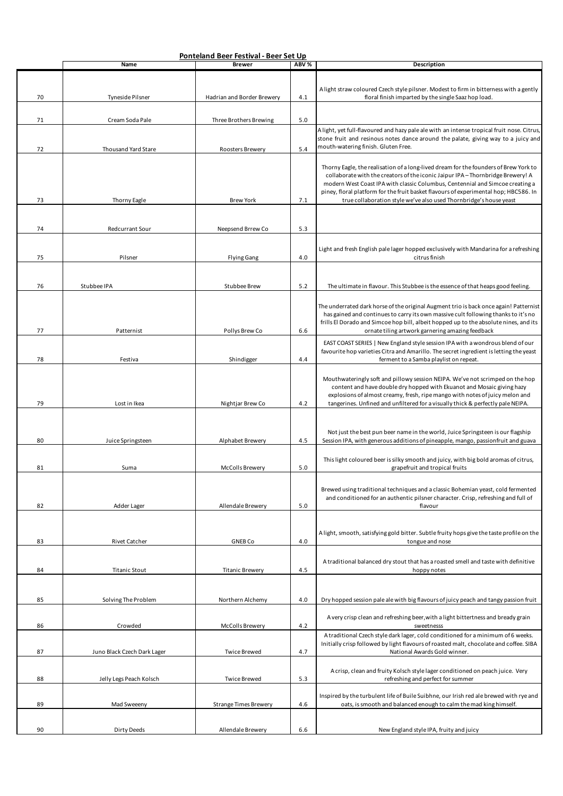|    | Ponteland Beer Festival - Beer Set Up |                              |       |                                                                                                                                                                             |
|----|---------------------------------------|------------------------------|-------|-----------------------------------------------------------------------------------------------------------------------------------------------------------------------------|
|    | Name                                  | <b>Brewer</b>                | ABV % | Description                                                                                                                                                                 |
|    |                                       |                              |       |                                                                                                                                                                             |
|    |                                       |                              |       | A light straw coloured Czech style pilsner. Modest to firm in bitterness with a gently                                                                                      |
| 70 | Tyneside Pilsner                      | Hadrian and Border Brewery   | 4.1   | floral finish imparted by the single Saaz hop load.                                                                                                                         |
|    |                                       |                              |       |                                                                                                                                                                             |
| 71 | Cream Soda Pale                       | Three Brothers Brewing       | 5.0   |                                                                                                                                                                             |
|    |                                       |                              |       | A light, yet full-flavoured and hazy pale ale with an intense tropical fruit nose. Citrus,                                                                                  |
|    |                                       |                              |       | stone fruit and resinous notes dance around the palate, giving way to a juicy and                                                                                           |
| 72 | Thousand Yard Stare                   | Roosters Brewery             | 5.4   | mouth-watering finish. Gluten Free.                                                                                                                                         |
|    |                                       |                              |       |                                                                                                                                                                             |
|    |                                       |                              |       | Thorny Eagle, the realisation of a long-lived dream for the founders of Brew York to                                                                                        |
|    |                                       |                              |       | collaborate with the creators of the iconic Jaipur IPA-Thornbridge Brewery! A                                                                                               |
|    |                                       |                              |       | modern West Coast IPA with classic Columbus, Centennial and Simcoe creating a<br>piney, floral platform for the fruit basket flavours of experimental hop; HBC586. In       |
| 73 | Thorny Eagle                          | <b>Brew York</b>             | 7.1   | true collaboration style we've also used Thornbridge's house yeast                                                                                                          |
|    |                                       |                              |       |                                                                                                                                                                             |
|    |                                       |                              |       |                                                                                                                                                                             |
| 74 | Redcurrant Sour                       | Neepsend Brrew Co            | 5.3   |                                                                                                                                                                             |
|    |                                       |                              |       |                                                                                                                                                                             |
|    |                                       |                              |       | Light and fresh English pale lager hopped exclusively with Mandarina for a refreshing                                                                                       |
| 75 | Pilsner                               | <b>Flying Gang</b>           | 4.0   | citrus finish                                                                                                                                                               |
|    |                                       |                              |       |                                                                                                                                                                             |
|    |                                       |                              |       |                                                                                                                                                                             |
| 76 | Stubbee IPA                           | Stubbee Brew                 | 5.2   | The ultimate in flavour. This Stubbee is the essence of that heaps good feeling.                                                                                            |
|    |                                       |                              |       |                                                                                                                                                                             |
|    |                                       |                              |       | The underrated dark horse of the original Augment trio is back once again! Patternist<br>has gained and continues to carry its own massive cult following thanks to it's no |
|    |                                       |                              |       | frills El Dorado and Simcoe hop bill, albeit hopped up to the absolute nines, and its                                                                                       |
| 77 | Patternist                            | Pollys Brew Co               | 6.6   | ornate tiling artwork garnering amazing feedback                                                                                                                            |
|    |                                       |                              |       | EAST COAST SERIES   New England style session IPA with a wondrous blend of our                                                                                              |
|    |                                       |                              |       | favourite hop varieties Citra and Amarillo. The secret ingredient is letting the yeast                                                                                      |
| 78 | Festiva                               | Shindigger                   | 4.4   | ferment to a Samba playlist on repeat.                                                                                                                                      |
|    |                                       |                              |       |                                                                                                                                                                             |
|    |                                       |                              |       | Mouthwateringly soft and pillowy session NEIPA. We've not scrimped on the hop<br>content and have double dry hopped with Ekuanot and Mosaic giving hazy                     |
|    |                                       |                              |       | explosions of almost creamy, fresh, ripe mango with notes of juicy melon and                                                                                                |
| 79 | Lost in Ikea                          | Nightjar Brew Co             | 4.2   | tangerines. Unfined and unfiltered for a visually thick & perfectly pale NEIPA.                                                                                             |
|    |                                       |                              |       |                                                                                                                                                                             |
|    |                                       |                              |       |                                                                                                                                                                             |
|    |                                       |                              |       | Not just the best pun beer name in the world, Juice Springsteen is our flagship                                                                                             |
| 80 | Juice Springsteen                     | Alphabet Brewery             | 4.5   | Session IPA, with generous additions of pineapple, mango, passionfruit and guava                                                                                            |
|    |                                       |                              |       | This light coloured beer is silky smooth and juicy, with big bold aromas of citrus,                                                                                         |
| 81 | Suma                                  | McColls Brewery              | 5.0   | grapefruit and tropical fruits                                                                                                                                              |
|    |                                       |                              |       |                                                                                                                                                                             |
|    |                                       |                              |       | Brewed using traditional techniques and a classic Bohemian yeast, cold fermented                                                                                            |
|    |                                       |                              |       | and conditioned for an authentic pilsner character. Crisp, refreshing and full of                                                                                           |
| 82 | Adder Lager                           | Allendale Brewery            | 5.0   | flavour                                                                                                                                                                     |
|    |                                       |                              |       |                                                                                                                                                                             |
|    |                                       |                              |       |                                                                                                                                                                             |
| 83 | <b>Rivet Catcher</b>                  | <b>GNEB Co</b>               | 4.0   | A light, smooth, satisfying gold bitter. Subtle fruity hops give the taste profile on the<br>tongue and nose                                                                |
|    |                                       |                              |       |                                                                                                                                                                             |
|    |                                       |                              |       | A traditional balanced dry stout that has a roasted smell and taste with definitive                                                                                         |
| 84 | <b>Titanic Stout</b>                  | <b>Titanic Brewery</b>       | 4.5   | hoppy notes                                                                                                                                                                 |
|    |                                       |                              |       |                                                                                                                                                                             |
|    |                                       |                              |       |                                                                                                                                                                             |
| 85 | Solving The Problem                   | Northern Alchemy             | 4.0   | Dry hopped session pale ale with big flavours of juicy peach and tangy passion fruit                                                                                        |
|    |                                       |                              |       |                                                                                                                                                                             |
| 86 | Crowded                               | McColls Brewery              | 4.2   | A very crisp clean and refreshing beer, with a light bittertness and bready grain<br>sweetnesss                                                                             |
|    |                                       |                              |       | A traditional Czech style dark lager, cold conditioned for a minimum of 6 weeks.                                                                                            |
|    |                                       |                              |       | Initially crisp followed by light flavours of roasted malt, chocolate and coffee. SIBA                                                                                      |
| 87 | Juno Black Czech Dark Lager           | <b>Twice Brewed</b>          | 4.7   | National Awards Gold winner.                                                                                                                                                |
|    |                                       |                              |       |                                                                                                                                                                             |
|    |                                       |                              |       | A crisp, clean and fruity Kolsch style lager conditioned on peach juice. Very                                                                                               |
| 88 | Jelly Legs Peach Kolsch               | <b>Twice Brewed</b>          | 5.3   | refreshing and perfect for summer                                                                                                                                           |
|    |                                       |                              |       | Inspired by the turbulent life of Buile Suibhne, our Irish red ale brewed with rye and                                                                                      |
| 89 | Mad Sweeeny                           | <b>Strange Times Brewery</b> | 4.6   | oats, is smooth and balanced enough to calm the mad king himself.                                                                                                           |
|    |                                       |                              |       |                                                                                                                                                                             |
|    |                                       |                              |       |                                                                                                                                                                             |
| 90 | Dirty Deeds                           | Allendale Brewery            | 6.6   | New England style IPA, fruity and juicy                                                                                                                                     |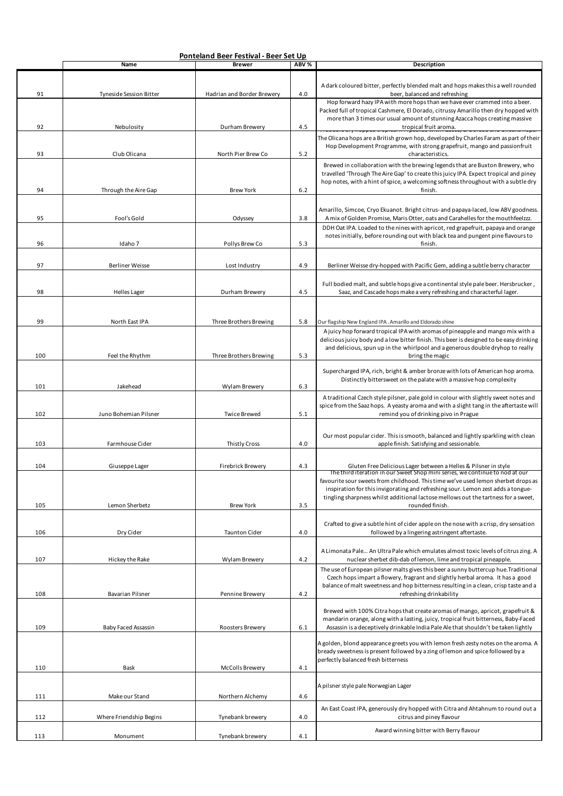|     | Ponteland Beer Festival - Beer Set Up |                            |       |                                                                                                                                                                                                                                                                                                                                             |
|-----|---------------------------------------|----------------------------|-------|---------------------------------------------------------------------------------------------------------------------------------------------------------------------------------------------------------------------------------------------------------------------------------------------------------------------------------------------|
|     | Name                                  | <b>Brewer</b>              | ABV % | Description                                                                                                                                                                                                                                                                                                                                 |
| 91  | Tyneside Session Bitter               | Hadrian and Border Brewery | 4.0   | A dark coloured bitter, perfectly blended malt and hops makes this a well rounded<br>beer, balanced and refreshing<br>Hop forward hazy IPA with more hops than we have ever crammed into a beer.                                                                                                                                            |
| 92  | Nebulosity                            | Durham Brewery             | 4.5   | Packed full of tropical Cashmere, El Dorado, citrussy Amarillo then dry hopped with<br>more than 3 times our usual amount of stunning Azacca hops creating massive<br>tropical fruit aroma.                                                                                                                                                 |
| 93  | Club Olicana                          | North Pier Brew Co         | 5.2   | The Olicana hops are a British grown hop, developed by Charles Faram as part of their<br>Hop Development Programme, with strong grapefruit, mango and passionfruit<br>characteristics.                                                                                                                                                      |
|     |                                       |                            |       | Brewed in collaboration with the brewing legends that are Buxton Brewery, who<br>travelled 'Through The Aire Gap' to create this juicy IPA. Expect tropical and piney<br>hop notes, with a hint of spice, a welcoming softness throughout with a subtle dry                                                                                 |
| 94  | Through the Aire Gap                  | <b>Brew York</b>           | 6.2   | finish.<br>Amarillo, Simcoe, Cryo Ekuanot. Bright citrus- and papaya-laced, low ABV goodness.                                                                                                                                                                                                                                               |
| 95  | Fool's Gold                           | Odyssey                    | 3.8   | A mix of Golden Promise, Maris Otter, oats and Carahelles for the mouthfeelzzz.<br>DDH Oat IPA. Loaded to the nines with apricot, red grapefruit, papaya and orange<br>notes initially, before rounding out with black tea and pungent pine flavours to                                                                                     |
| 96  | Idaho 7                               | Pollys Brew Co             | 5.3   | finish.                                                                                                                                                                                                                                                                                                                                     |
| 97  | <b>Berliner Weisse</b>                | Lost Industry              | 4.9   | Berliner Weisse dry-hopped with Pacific Gem, adding a subtle berry character                                                                                                                                                                                                                                                                |
| 98  | <b>Helles Lager</b>                   | Durham Brewery             | 4.5   | Full bodied malt, and subtle hops give a continental style pale beer. Hersbrucker,<br>Saaz, and Cascade hops make a very refreshing and characterful lager.                                                                                                                                                                                 |
| 99  | North East IPA                        | Three Brothers Brewing     | 5.8   | Our flagship New England IPA .Amarillo and Eldorado shine                                                                                                                                                                                                                                                                                   |
|     |                                       |                            |       | A juicy hop forward tropical IPA with aromas of pineapple and mango mix with a<br>delicious juicy body and a low bitter finish. This beer is designed to be easy drinking<br>and delicious, spun up in the whirlpool and a generous double dryhop to really                                                                                 |
| 100 | Feel the Rhythm                       | Three Brothers Brewing     | 5.3   | bring the magic<br>Supercharged IPA, rich, bright & amber bronze with lots of American hop aroma.                                                                                                                                                                                                                                           |
| 101 | Jakehead                              | Wylam Brewery              | 6.3   | Distinctly bittersweet on the palate with a massive hop complexity                                                                                                                                                                                                                                                                          |
| 102 | Juno Bohemian Pilsner                 | <b>Twice Brewed</b>        | 5.1   | A traditional Czech style pilsner, pale gold in colour with slightly sweet notes and<br>spice from the Saaz hops. A yeasty aroma and with a slight tang in the aftertaste will<br>remind you of drinking pivo in Prague                                                                                                                     |
| 103 | Farmhouse Cider                       | Thistly Cross              | 4.0   | Our most popular cider. This is smooth, balanced and lightly sparkling with clean<br>apple finish. Satisfying and sessionable.                                                                                                                                                                                                              |
| 104 | Giuseppe Lager                        | <b>Firebrick Brewery</b>   | 4.3   | Gluten Free Delicious Lager between a Helles & Pilsner in style                                                                                                                                                                                                                                                                             |
|     |                                       |                            |       | The third iteration in our Sweet Shop mini series, we continue to nod at our<br>favourite sour sweets from childhood. This time we've used lemon sherbet drops as<br>inspiration for this invigorating and refreshing sour. Lemon zest adds a tongue-<br>tingling sharpness whilst additional lactose mellows out the tartness for a sweet, |
| 105 | Lemon Sherbetz                        | <b>Brew York</b>           | 3.5   | rounded finish.                                                                                                                                                                                                                                                                                                                             |
| 106 | Dry Cider                             | <b>Taunton Cider</b>       | 4.0   | Crafted to give a subtle hint of cider apple on the nose with a crisp, dry sensation<br>followed by a lingering astringent aftertaste.                                                                                                                                                                                                      |
| 107 | Hickey the Rake                       | Wylam Brewery              | 4.2   | A Limonata Pale An Ultra Pale which emulates almost toxic levels of citrus zing. A<br>nuclear sherbet dib-dab of lemon, lime and tropical pineapple.                                                                                                                                                                                        |
| 108 | <b>Bavarian Pilsner</b>               | Pennine Brewery            | 4.2   | The use of European pilsner malts gives this beer a sunny buttercup hue. Traditional<br>Czech hops impart a flowery, fragrant and slightly herbal aroma. It has a good<br>balance of malt sweetness and hop bitterness resulting in a clean, crisp taste and a<br>refreshing drinkability                                                   |
| 109 | Baby Faced Assassin                   | Roosters Brewery           | 6.1   | Brewed with 100% Citra hops that create aromas of mango, apricot, grapefruit &<br>mandarin orange, along with a lasting, juicy, tropical fruit bitterness, Baby-Faced<br>Assassin is a deceptively drinkable India Pale Ale that shouldn't be taken lightly                                                                                 |
|     |                                       |                            |       | A golden, blond appearance greets you with lemon fresh zesty notes on the aroma. A<br>bready sweetness is present followed by a zing of lemon and spice followed by a<br>perfectly balanced fresh bitterness                                                                                                                                |
| 110 | Bask                                  | McColls Brewery            | 4.1   | A pilsner style pale Norwegian Lager                                                                                                                                                                                                                                                                                                        |
| 111 | Make our Stand                        | Northern Alchemy           | 4.6   | An East Coast IPA, generously dry hopped with Citra and Ahtahnum to round out a                                                                                                                                                                                                                                                             |
| 112 | Where Friendship Begins               | Tynebank brewery           | 4.0   | citrus and piney flavour<br>Award winning bitter with Berry flavour                                                                                                                                                                                                                                                                         |
| 113 | Monument                              | Tynebank brewery           | 4.1   |                                                                                                                                                                                                                                                                                                                                             |